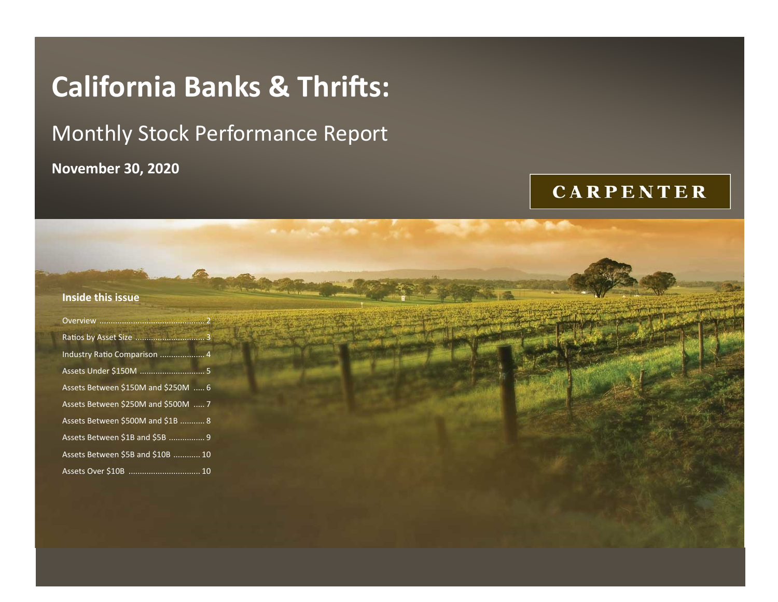# **California Banks & Thrifts:**

# Monthly Stock Performance Report

**November 30, 2020**

## **CARPENTER**

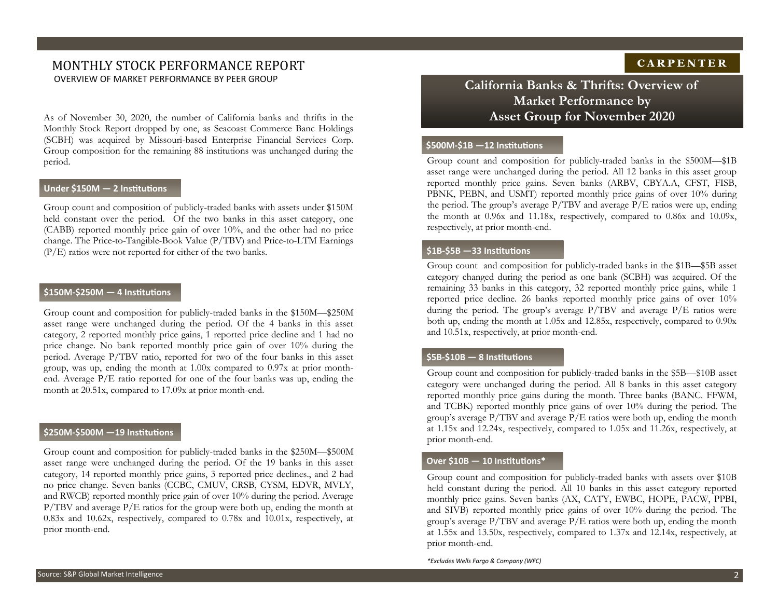## MONTHLY STOCK PERFORMANCE REPORT OVERVIEW OF MARKET PERFORMANCE BY PEER GROUP **California Banks & Thrifts: Overview of**

As of November 30, 2020, the number of California banks and thrifts in the Monthly Stock Report dropped by one, as Seacoast Commerce Banc Holdings (SCBH) was acquired by Missouri-based Enterprise Financial Services Corp. Group composition for the remaining 88 institutions was unchanged during the period.

#### **Under \$150M — 2 Institutions**

Group count and composition of publicly-traded banks with assets under \$150M held constant over the period. Of the two banks in this asset category, one (CABB) reported monthly price gain of over 10%, and the other had no price change. The Price-to-Tangible-Book Value (P/TBV) and Price-to-LTM Earnings (P/E) ratios were not reported for either of the two banks.

#### **\$150M-\$250M — 4 Institutions**

Group count and composition for publicly-traded banks in the \$150M—\$250M asset range were unchanged during the period. Of the 4 banks in this asset category, 2 reported monthly price gains, 1 reported price decline and 1 had no price change. No bank reported monthly price gain of over 10% during the period. Average P/TBV ratio, reported for two of the four banks in this asset group, was up, ending the month at 1.00x compared to 0.97x at prior monthend. Average P/E ratio reported for one of the four banks was up, ending the month at 20.51x, compared to 17.09x at prior month-end.

#### **\$250M-\$500M —19 Institutions**

Group count and composition for publicly-traded banks in the \$250M—\$500M asset range were unchanged during the period. Of the 19 banks in this asset category, 14 reported monthly price gains, 3 reported price declines., and 2 had no price change. Seven banks (CCBC, CMUV, CRSB, CYSM, EDVR, MVLY, and RWCB) reported monthly price gain of over 10% during the period. Average P/TBV and average P/E ratios for the group were both up, ending the month at 0.83x and 10.62x, respectively, compared to 0.78x and 10.01x, respectively, at prior month-end.

### **CARPENTER**

## **Market Performance by Asset Group for November 2020**

#### **\$500M-\$1B —12 Institutions**

Group count and composition for publicly-traded banks in the \$500M—\$1B asset range were unchanged during the period. All 12 banks in this asset group reported monthly price gains. Seven banks (ARBV, CBYA.A, CFST, FISB, PBNK, PEBN, and USMT) reported monthly price gains of over 10% during the period. The group's average P/TBV and average P/E ratios were up, ending the month at 0.96x and 11.18x, respectively, compared to 0.86x and 10.09x, respectively, at prior month-end.

#### **\$1B-\$5B —33 Institutions**

Group count and composition for publicly-traded banks in the \$1B—\$5B asset category changed during the period as one bank (SCBH) was acquired. Of the remaining 33 banks in this category, 32 reported monthly price gains, while 1 reported price decline. 26 banks reported monthly price gains of over 10% during the period. The group's average  $P/TBV$  and average  $P/E$  ratios were both up, ending the month at 1.05x and 12.85x, respectively, compared to 0.90x and 10.51x, respectively, at prior month-end.

#### **\$5B-\$10B — 8 Institutions**

Group count and composition for publicly-traded banks in the \$5B—\$10B asset category were unchanged during the period. All 8 banks in this asset category reported monthly price gains during the month. Three banks (BANC. FFWM, and TCBK) reported monthly price gains of over 10% during the period. The group's average P/TBV and average P/E ratios were both up, ending the month at 1.15x and 12.24x, respectively, compared to 1.05x and 11.26x, respectively, at prior month-end.

#### **Over \$10B — 10 Institutions\***

Group count and composition for publicly-traded banks with assets over \$10B held constant during the period. All 10 banks in this asset category reported monthly price gains. Seven banks (AX, CATY, EWBC, HOPE, PACW, PPBI, and SIVB) reported monthly price gains of over 10% during the period. The group's average P/TBV and average P/E ratios were both up, ending the month at 1.55x and 13.50x, respectively, compared to 1.37x and 12.14x, respectively, at prior month-end.

*\*Excludes Wells Fargo & Company (WFC)*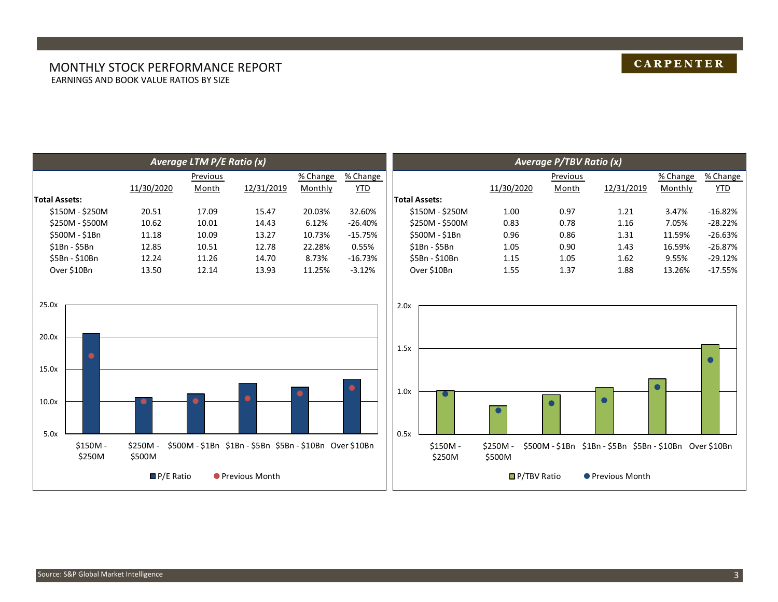#### MONTHLY STOCK PERFORMANCE REPORT EARNINGS AND BOOK VALUE RATIOS BY SIZE

|                                          |                     |                   | Average LTM P/E Ratio (x)                        |                  |          |           |                              |                    |                   | <b>Average P/TBV Ratio (x)</b> |                                                  |          |           |
|------------------------------------------|---------------------|-------------------|--------------------------------------------------|------------------|----------|-----------|------------------------------|--------------------|-------------------|--------------------------------|--------------------------------------------------|----------|-----------|
|                                          |                     |                   | Previous                                         |                  | % Change | % Change  |                              |                    |                   | Previous                       |                                                  | % Change | % Change  |
|                                          |                     | 11/30/2020        | Month                                            | 12/31/2019       | Monthly  | YID       |                              |                    | 11/30/2020        | Month                          | 12/31/2019                                       | Monthly  | YID       |
| <b>Total Assets:</b>                     |                     |                   |                                                  |                  |          |           | <b>Total Assets:</b>         |                    |                   |                                |                                                  |          |           |
| \$150M - \$250M                          |                     | 20.51             | 17.09                                            | 15.47            | 20.03%   | 32.60%    |                              | \$150M - \$250M    | 1.00              | 0.97                           | 1.21                                             | 3.47%    | $-16.82%$ |
| \$250M - \$500M                          |                     | 10.62             | 10.01                                            | 14.43            | 6.12%    | $-26.40%$ |                              | \$250M - \$500M    | 0.83              | 0.78                           | 1.16                                             | 7.05%    | $-28.22%$ |
| \$500M - \$1Bn                           |                     | 11.18             | 10.09                                            | 13.27            | 10.73%   | $-15.75%$ |                              | \$500M - \$1Bn     | 0.96              | 0.86                           | 1.31                                             | 11.59%   | $-26.63%$ |
| \$1Bn - \$5Bn                            |                     | 12.85             | 10.51                                            | 12.78            | 22.28%   | 0.55%     |                              | \$1Bn - \$5Bn      | 1.05              | 0.90                           | 1.43                                             | 16.59%   | $-26.87%$ |
| \$5Bn - \$10Bn                           |                     | 12.24             | 11.26                                            | 14.70            | 8.73%    | $-16.73%$ |                              | \$5Bn - \$10Bn     | 1.15              | 1.05                           | 1.62                                             | 9.55%    | $-29.12%$ |
| Over \$10Bn                              |                     | 13.50             | 12.14                                            | 13.93            | 11.25%   | $-3.12%$  |                              | Over \$10Bn        | 1.55              | 1.37                           | 1.88                                             | 13.26%   | $-17.55%$ |
| 25.0x<br>20.0x<br>15.0x<br>10.0x<br>5.0x | $$150M -$<br>\$250M | \$250M-<br>\$500M | \$500M-\$1Bn \$1Bn-\$5Bn \$5Bn-\$10Bn Over\$10Bn |                  |          |           | 2.0x<br>1.5x<br>1.0x<br>0.5x | \$150M -<br>\$250M | \$250M-<br>\$500M | $\bullet$                      | \$500M-\$1Bn \$1Bn-\$5Bn \$5Bn-\$10Bn Over\$10Bn |          |           |
|                                          |                     |                   | $P/E$ Ratio                                      | ● Previous Month |          |           |                              |                    |                   | $\blacksquare$ P/TBV Ratio     | ● Previous Month                                 |          |           |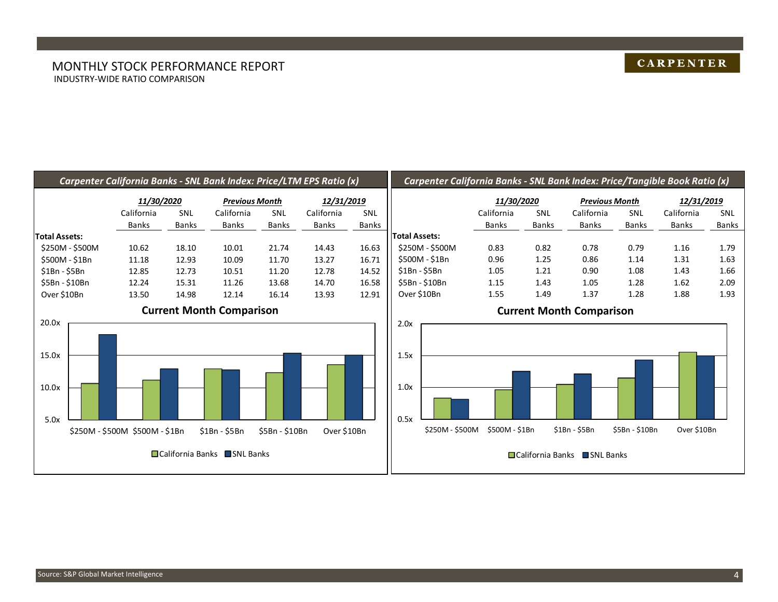#### MONTHLY STOCK PERFORMANCE REPORT INDUSTRY-WIDE RATIO COMPARISON

### **CARPENTER**

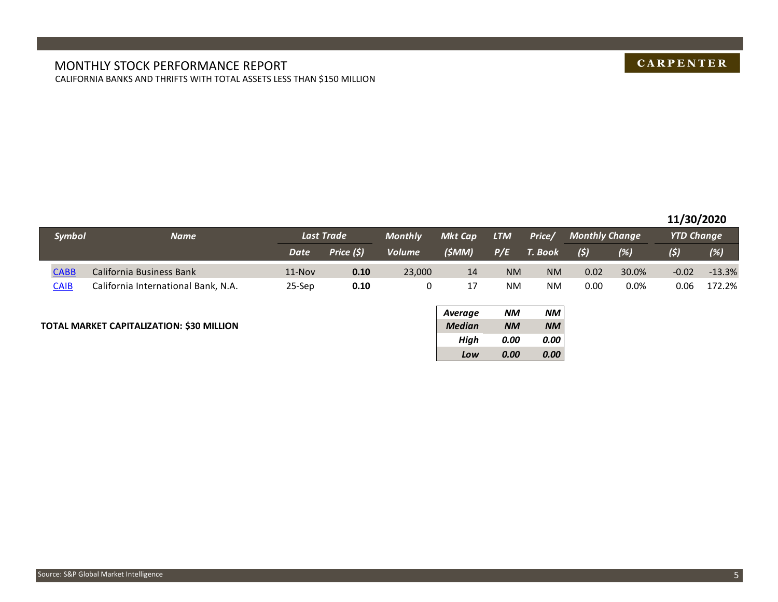#### MONTHLY STOCK PERFORMANCE REPORT CALIFORNIA BANKS AND THRIFTS WITH TOTAL ASSETS LESS THAN \$150 MILLION

## **CARPENTER**

#### **11/30/2020**

|               |                                     |             |            |                |                |            |           |                       |         | -- <i>--</i> ------- |          |
|---------------|-------------------------------------|-------------|------------|----------------|----------------|------------|-----------|-----------------------|---------|----------------------|----------|
| <b>Symbol</b> | <b>Name</b>                         |             | Last Trade | <b>Monthly</b> | <b>Mkt Cap</b> | <b>LTM</b> | Price/    | <b>Monthly Change</b> |         | <b>YTD Change</b>    |          |
|               |                                     | <b>Date</b> | Price (\$) | <b>Volume</b>  | (SMM)          | P/E        | T. Book   | (5)                   | (%)     | (\$)                 | (%)      |
| <b>CABB</b>   | California Business Bank            | 11-Nov      | 0.10       | 23,000         | 14             | <b>NM</b>  | <b>NM</b> | 0.02                  | 30.0%   | $-0.02$              | $-13.3%$ |
| <b>CAIB</b>   | California International Bank, N.A. | 25-Sep      | 0.10       |                |                | <b>NM</b>  | <b>NM</b> | 0.00                  | $0.0\%$ | 0.06                 | 172.2%   |

#### **TOTAL MARKET CAPITALIZATION: \$30 MILLION** *Median NM NM*

| <b>Average</b> | NМ        | NM.       |
|----------------|-----------|-----------|
| <b>Median</b>  | <b>NM</b> | <b>NM</b> |
| High           | 0.00      | 0.00      |
| Low            | 0.00      | 0.00      |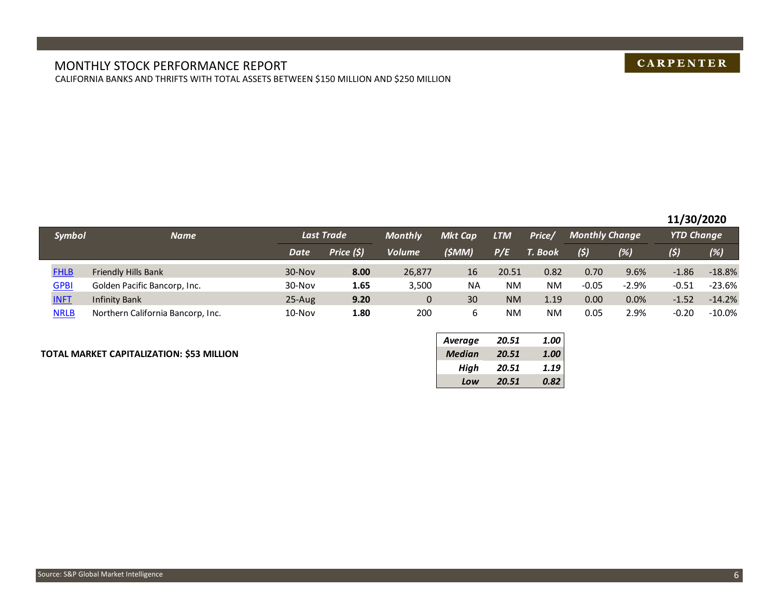#### MONTHLY STOCK PERFORMANCE REPORT CALIFORNIA BANKS AND THRIFTS WITH TOTAL ASSETS BETWEEN \$150 MILLION AND \$250 MILLION

## **CARPENTER**

#### **11/30/2020**

| <b>Symbol</b> | <b>Name</b>                       |             | <b>Last Trade</b> | <b>Monthly</b> | <b>Mkt Cap</b> | LTM       | Price/    | <b>Monthly Change</b> |         | <b>YTD Change</b> |           |
|---------------|-----------------------------------|-------------|-------------------|----------------|----------------|-----------|-----------|-----------------------|---------|-------------------|-----------|
|               |                                   | <b>Date</b> | Price (\$)        | <b>Volume</b>  | (\$MM)         | P/E       | T. Book   | (5)                   | $(\%)$  | (s)               | (%)       |
| <b>FHLB</b>   | <b>Friendly Hills Bank</b>        | 30-Nov      | 8.00              | 26,877         | 16             | 20.51     | 0.82      | 0.70                  | 9.6%    | $-1.86$           | $-18.8%$  |
| <b>GPBI</b>   | Golden Pacific Bancorp, Inc.      | 30-Nov      | 1.65              | 3,500          | <b>NA</b>      | NM        | <b>NM</b> | $-0.05$               | $-2.9%$ | $-0.51$           | $-23.6%$  |
| <b>INFT</b>   | <b>Infinity Bank</b>              | 25-Aug      | 9.20              | 0              | 30             | <b>NM</b> | 1.19      | 0.00                  | 0.0%    | $-1.52$           | $-14.2%$  |
| <b>NRLB</b>   | Northern California Bancorp, Inc. | $10$ -Nov   | 1.80              | 200            |                | NM        | <b>NM</b> | 0.05                  | 2.9%    | $-0.20$           | $-10.0\%$ |

#### **TOTAL MARKET CAPITALIZATION: \$53 MILLION** *Median 20.51 1.00*

| <b>Average</b> | 20.51 | 1.00 |
|----------------|-------|------|
| <b>Median</b>  | 20.51 | 1.00 |
| High           | 20.51 | 1.19 |
| Low            | 20.51 | 0.82 |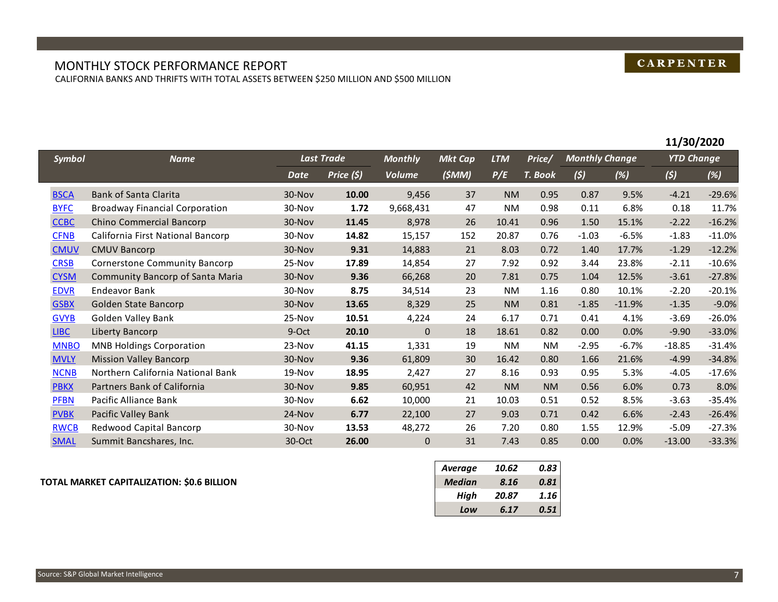## **CARPENTER**

#### MONTHLY STOCK PERFORMANCE REPORT CALIFORNIA BANKS AND THRIFTS WITH TOTAL ASSETS BETWEEN \$250 MILLION AND \$500 MILLION

|               |                                       |          |                   |                |                |            |           |                       |          | 11/30/2020        |          |
|---------------|---------------------------------------|----------|-------------------|----------------|----------------|------------|-----------|-----------------------|----------|-------------------|----------|
| <b>Symbol</b> | <b>Name</b>                           |          | <b>Last Trade</b> | <b>Monthly</b> | <b>Mkt Cap</b> | <b>LTM</b> | Price/    | <b>Monthly Change</b> |          | <b>YTD Change</b> |          |
|               |                                       | Date     | Price $(5)$       | <b>Volume</b>  | (SMM)          | P/E        | T. Book   | (5)                   | (%)      | (5)               | (%)      |
| <b>BSCA</b>   | <b>Bank of Santa Clarita</b>          | 30-Nov   | 10.00             | 9,456          | 37             | <b>NM</b>  | 0.95      | 0.87                  | 9.5%     | $-4.21$           | $-29.6%$ |
| <b>BYFC</b>   | <b>Broadway Financial Corporation</b> | 30-Nov   | 1.72              | 9,668,431      | 47             | <b>NM</b>  | 0.98      | 0.11                  | 6.8%     | 0.18              | 11.7%    |
| <b>CCBC</b>   | Chino Commercial Bancorp              | 30-Nov   | 11.45             | 8,978          | 26             | 10.41      | 0.96      | 1.50                  | 15.1%    | $-2.22$           | $-16.2%$ |
| <b>CFNB</b>   | California First National Bancorp     | 30-Nov   | 14.82             | 15,157         | 152            | 20.87      | 0.76      | $-1.03$               | $-6.5%$  | $-1.83$           | $-11.0%$ |
| <b>CMUV</b>   | <b>CMUV Bancorp</b>                   | 30-Nov   | 9.31              | 14,883         | 21             | 8.03       | 0.72      | 1.40                  | 17.7%    | $-1.29$           | $-12.2%$ |
| <b>CRSB</b>   | <b>Cornerstone Community Bancorp</b>  | 25-Nov   | 17.89             | 14,854         | 27             | 7.92       | 0.92      | 3.44                  | 23.8%    | $-2.11$           | $-10.6%$ |
| <b>CYSM</b>   | Community Bancorp of Santa Maria      | 30-Nov   | 9.36              | 66,268         | 20             | 7.81       | 0.75      | 1.04                  | 12.5%    | $-3.61$           | $-27.8%$ |
| <b>EDVR</b>   | Endeavor Bank                         | 30-Nov   | 8.75              | 34,514         | 23             | <b>NM</b>  | 1.16      | 0.80                  | 10.1%    | $-2.20$           | $-20.1%$ |
| <b>GSBX</b>   | Golden State Bancorp                  | 30-Nov   | 13.65             | 8,329          | 25             | <b>NM</b>  | 0.81      | $-1.85$               | $-11.9%$ | $-1.35$           | $-9.0%$  |
| <b>GVYB</b>   | Golden Valley Bank                    | 25-Nov   | 10.51             | 4,224          | 24             | 6.17       | 0.71      | 0.41                  | 4.1%     | $-3.69$           | $-26.0%$ |
| <b>LIBC</b>   | Liberty Bancorp                       | 9-Oct    | 20.10             | $\mathbf{0}$   | 18             | 18.61      | 0.82      | 0.00                  | 0.0%     | $-9.90$           | $-33.0%$ |
| <b>MNBO</b>   | <b>MNB Holdings Corporation</b>       | 23-Nov   | 41.15             | 1,331          | 19             | <b>NM</b>  | <b>NM</b> | $-2.95$               | $-6.7%$  | $-18.85$          | $-31.4%$ |
| <b>MVLY</b>   | <b>Mission Valley Bancorp</b>         | 30-Nov   | 9.36              | 61,809         | 30             | 16.42      | 0.80      | 1.66                  | 21.6%    | $-4.99$           | $-34.8%$ |
| <b>NCNB</b>   | Northern California National Bank     | $19-Nov$ | 18.95             | 2,427          | 27             | 8.16       | 0.93      | 0.95                  | 5.3%     | $-4.05$           | $-17.6%$ |
| <b>PBKX</b>   | Partners Bank of California           | 30-Nov   | 9.85              | 60,951         | 42             | <b>NM</b>  | <b>NM</b> | 0.56                  | 6.0%     | 0.73              | 8.0%     |
| <b>PFBN</b>   | Pacific Alliance Bank                 | 30-Nov   | 6.62              | 10,000         | 21             | 10.03      | 0.51      | 0.52                  | 8.5%     | $-3.63$           | $-35.4%$ |
| <b>PVBK</b>   | Pacific Valley Bank                   | 24-Nov   | 6.77              | 22,100         | 27             | 9.03       | 0.71      | 0.42                  | 6.6%     | $-2.43$           | $-26.4%$ |
| <b>RWCB</b>   | Redwood Capital Bancorp               | 30-Nov   | 13.53             | 48,272         | 26             | 7.20       | 0.80      | 1.55                  | 12.9%    | $-5.09$           | $-27.3%$ |
| <b>SMAL</b>   | Summit Bancshares, Inc.               | 30-Oct   | 26.00             | $\mathbf 0$    | 31             | 7.43       | 0.85      | 0.00                  | 0.0%     | $-13.00$          | $-33.3%$ |

#### **TOTAL MARKET CAPITALIZATION: \$0.6 BILLION** *Median 8.16 0.81*

| <b>Average</b> | 10.62 | 0.83 |
|----------------|-------|------|
| <b>Median</b>  | 8.16  | 0.81 |
| High           | 20.87 | 1.16 |
| Low            | 6.17  | 0.51 |

I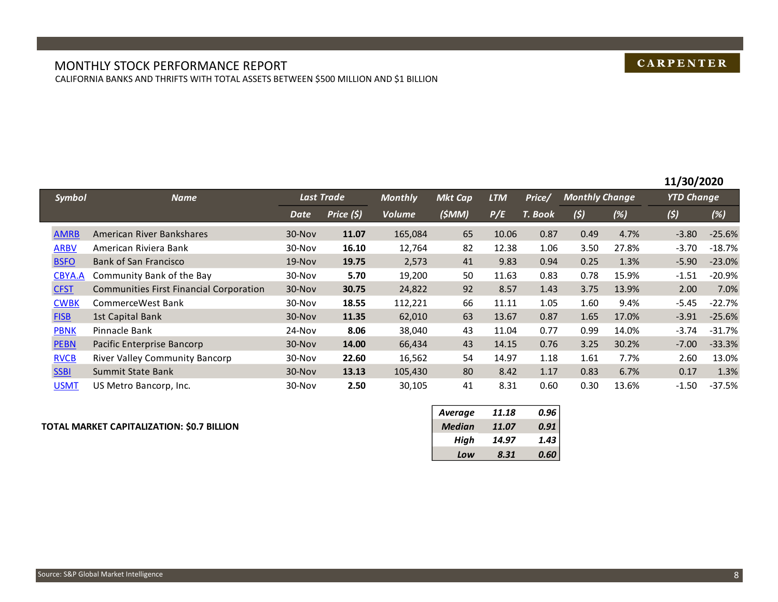#### MONTHLY STOCK PERFORMANCE REPORT CALIFORNIA BANKS AND THRIFTS WITH TOTAL ASSETS BETWEEN \$500 MILLION AND \$1 BILLION

## **CARPENTER**

|               |                                         |          |            |                |                |            |         |                       |       | 11/30/2020        |          |
|---------------|-----------------------------------------|----------|------------|----------------|----------------|------------|---------|-----------------------|-------|-------------------|----------|
| <b>Symbol</b> | <b>Name</b>                             |          | Last Trade | <b>Monthly</b> | <b>Mkt Cap</b> | <b>LTM</b> | Price/  | <b>Monthly Change</b> |       | <b>YTD Change</b> |          |
|               |                                         | Date     | Price (\$) | <b>Volume</b>  | (5MM)          | P/E        | T. Book | (5)                   | (%)   | (5)               | (%)      |
| <b>AMRB</b>   | American River Bankshares               | 30-Nov   | 11.07      | 165,084        | 65             | 10.06      | 0.87    | 0.49                  | 4.7%  | $-3.80$           | $-25.6%$ |
| <b>ARBV</b>   | American Riviera Bank                   | 30-Nov   | 16.10      | 12,764         | 82             | 12.38      | 1.06    | 3.50                  | 27.8% | $-3.70$           | $-18.7%$ |
| <b>BSFO</b>   | Bank of San Francisco                   | $19-Nov$ | 19.75      | 2,573          | 41             | 9.83       | 0.94    | 0.25                  | 1.3%  | $-5.90$           | $-23.0%$ |
| CBYA.A        | Community Bank of the Bay               | 30-Nov   | 5.70       | 19,200         | 50             | 11.63      | 0.83    | 0.78                  | 15.9% | $-1.51$           | $-20.9%$ |
| <b>CFST</b>   | Communities First Financial Corporation | 30-Nov   | 30.75      | 24,822         | 92             | 8.57       | 1.43    | 3.75                  | 13.9% | 2.00              | 7.0%     |
| <b>CWBK</b>   | CommerceWest Bank                       | 30-Nov   | 18.55      | 112,221        | 66             | 11.11      | 1.05    | 1.60                  | 9.4%  | $-5.45$           | $-22.7%$ |
| <b>FISB</b>   | 1st Capital Bank                        | 30-Nov   | 11.35      | 62,010         | 63             | 13.67      | 0.87    | 1.65                  | 17.0% | $-3.91$           | $-25.6%$ |
| <b>PBNK</b>   | Pinnacle Bank                           | 24-Nov   | 8.06       | 38,040         | 43             | 11.04      | 0.77    | 0.99                  | 14.0% | $-3.74$           | $-31.7%$ |
| <b>PEBN</b>   | Pacific Enterprise Bancorp              | 30-Nov   | 14.00      | 66,434         | 43             | 14.15      | 0.76    | 3.25                  | 30.2% | $-7.00$           | $-33.3%$ |
| <b>RVCB</b>   | River Valley Community Bancorp          | 30-Nov   | 22.60      | 16,562         | 54             | 14.97      | 1.18    | 1.61                  | 7.7%  | 2.60              | 13.0%    |
| <b>SSBI</b>   | Summit State Bank                       | 30-Nov   | 13.13      | 105,430        | 80             | 8.42       | 1.17    | 0.83                  | 6.7%  | 0.17              | 1.3%     |
| <b>USMT</b>   | US Metro Bancorp, Inc.                  | 30-Nov   | 2.50       | 30,105         | 41             | 8.31       | 0.60    | 0.30                  | 13.6% | $-1.50$           | $-37.5%$ |

#### **TOTAL MARKET CAPITALIZATION: \$0.7 BILLION** *Median 11.07 0.91*

| <b>Average</b> | 11.18 | 0.96 |
|----------------|-------|------|
| <b>Median</b>  | 11.07 | 0.91 |
| High           | 14.97 | 1.43 |
| Low            | 8.31  | 0.60 |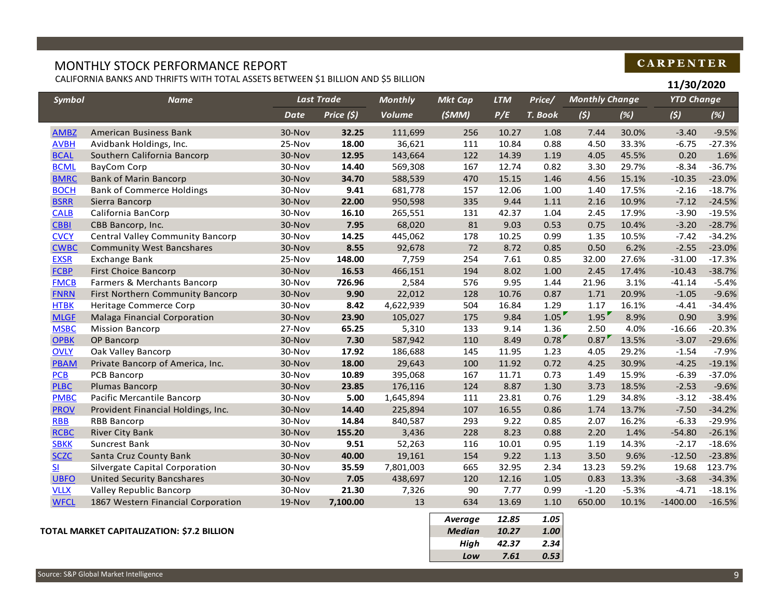## MONTHLY STOCK PERFORMANCE REPORT

I

CALIFORNIA BANKS AND THRIFTS WITH TOTAL ASSETS BETWEEN \$1 BILLION AND \$5 BILLION

## **CARPENTER**

|               | UALIFORNIA BANKS AND THRIFTS WITH TOTAL ASSETS BETWEEN \$1 BILLION AND \$5 BILLION |        |                   |                |                |            |         |                       |         | 11/30/2020        |          |
|---------------|------------------------------------------------------------------------------------|--------|-------------------|----------------|----------------|------------|---------|-----------------------|---------|-------------------|----------|
| <b>Symbol</b> | <b>Name</b>                                                                        |        | <b>Last Trade</b> | <b>Monthly</b> | <b>Mkt Cap</b> | <b>LTM</b> | Price/  | <b>Monthly Change</b> |         | <b>YTD Change</b> |          |
|               |                                                                                    | Date   | Price (\$)        | <b>Volume</b>  | (\$MM)         | P/E        | T. Book | (5)                   | (%)     | (5)               | (%)      |
| <b>AMBZ</b>   | American Business Bank                                                             | 30-Nov | 32.25             | 111,699        | 256            | 10.27      | 1.08    | 7.44                  | 30.0%   | $-3.40$           | $-9.5%$  |
| <b>AVBH</b>   | Avidbank Holdings, Inc.                                                            | 25-Nov | 18.00             | 36,621         | 111            | 10.84      | 0.88    | 4.50                  | 33.3%   | $-6.75$           | $-27.3%$ |
| <b>BCAL</b>   | Southern California Bancorp                                                        | 30-Nov | 12.95             | 143,664        | 122            | 14.39      | 1.19    | 4.05                  | 45.5%   | 0.20              | 1.6%     |
| <b>BCML</b>   | BayCom Corp                                                                        | 30-Nov | 14.40             | 569,308        | 167            | 12.74      | 0.82    | 3.30                  | 29.7%   | $-8.34$           | $-36.7%$ |
| <b>BMRC</b>   | <b>Bank of Marin Bancorp</b>                                                       | 30-Nov | 34.70             | 588,539        | 470            | 15.15      | 1.46    | 4.56                  | 15.1%   | $-10.35$          | $-23.0%$ |
| <b>BOCH</b>   | <b>Bank of Commerce Holdings</b>                                                   | 30-Nov | 9.41              | 681,778        | 157            | 12.06      | 1.00    | 1.40                  | 17.5%   | $-2.16$           | $-18.7%$ |
| <b>BSRR</b>   | Sierra Bancorp                                                                     | 30-Nov | 22.00             | 950,598        | 335            | 9.44       | 1.11    | 2.16                  | 10.9%   | $-7.12$           | $-24.5%$ |
| <b>CALB</b>   | California BanCorp                                                                 | 30-Nov | 16.10             | 265,551        | 131            | 42.37      | 1.04    | 2.45                  | 17.9%   | $-3.90$           | $-19.5%$ |
| <b>CBBI</b>   | CBB Bancorp, Inc.                                                                  | 30-Nov | 7.95              | 68,020         | 81             | 9.03       | 0.53    | 0.75                  | 10.4%   | $-3.20$           | $-28.7%$ |
| <b>CVCY</b>   | Central Valley Community Bancorp                                                   | 30-Nov | 14.25             | 445,062        | 178            | 10.25      | 0.99    | 1.35                  | 10.5%   | $-7.42$           | $-34.2%$ |
| <b>CWBC</b>   | <b>Community West Bancshares</b>                                                   | 30-Nov | 8.55              | 92,678         | 72             | 8.72       | 0.85    | 0.50                  | 6.2%    | $-2.55$           | $-23.0%$ |
| <b>EXSR</b>   | Exchange Bank                                                                      | 25-Nov | 148.00            | 7,759          | 254            | 7.61       | 0.85    | 32.00                 | 27.6%   | $-31.00$          | $-17.3%$ |
| <b>FCBP</b>   | <b>First Choice Bancorp</b>                                                        | 30-Nov | 16.53             | 466,151        | 194            | 8.02       | 1.00    | 2.45                  | 17.4%   | $-10.43$          | $-38.7%$ |
| <b>FMCB</b>   | Farmers & Merchants Bancorp                                                        | 30-Nov | 726.96            | 2,584          | 576            | 9.95       | 1.44    | 21.96                 | 3.1%    | $-41.14$          | $-5.4%$  |
| <b>FNRN</b>   | First Northern Community Bancorp                                                   | 30-Nov | 9.90              | 22,012         | 128            | 10.76      | 0.87    | 1.71                  | 20.9%   | $-1.05$           | $-9.6%$  |
| <b>HTBK</b>   | Heritage Commerce Corp                                                             | 30-Nov | 8.42              | 4,622,939      | 504            | 16.84      | 1.29    | 1.17                  | 16.1%   | $-4.41$           | $-34.4%$ |
| <b>MLGF</b>   | Malaga Financial Corporation                                                       | 30-Nov | 23.90             | 105,027        | 175            | 9.84       | 1.05    | 1.95                  | 8.9%    | 0.90              | 3.9%     |
| <b>MSBC</b>   | <b>Mission Bancorp</b>                                                             | 27-Nov | 65.25             | 5,310          | 133            | 9.14       | 1.36    | 2.50                  | 4.0%    | $-16.66$          | $-20.3%$ |
| <b>OPBK</b>   | OP Bancorp                                                                         | 30-Nov | 7.30              | 587,942        | 110            | 8.49       | 0.78    | 0.87                  | 13.5%   | $-3.07$           | $-29.6%$ |
| <b>OVLY</b>   | Oak Valley Bancorp                                                                 | 30-Nov | 17.92             | 186,688        | 145            | 11.95      | 1.23    | 4.05                  | 29.2%   | $-1.54$           | $-7.9%$  |
| PBAM          | Private Bancorp of America, Inc.                                                   | 30-Nov | 18.00             | 29,643         | 100            | 11.92      | 0.72    | 4.25                  | 30.9%   | $-4.25$           | $-19.1%$ |
| PCB           | PCB Bancorp                                                                        | 30-Nov | 10.89             | 395,068        | 167            | 11.71      | 0.73    | 1.49                  | 15.9%   | $-6.39$           | $-37.0%$ |
| <b>PLBC</b>   | Plumas Bancorp                                                                     | 30-Nov | 23.85             | 176,116        | 124            | 8.87       | 1.30    | 3.73                  | 18.5%   | $-2.53$           | $-9.6%$  |
| <b>PMBC</b>   | Pacific Mercantile Bancorp                                                         | 30-Nov | 5.00              | 1,645,894      | 111            | 23.81      | 0.76    | 1.29                  | 34.8%   | $-3.12$           | $-38.4%$ |
| <b>PROV</b>   | Provident Financial Holdings, Inc.                                                 | 30-Nov | 14.40             | 225,894        | 107            | 16.55      | 0.86    | 1.74                  | 13.7%   | $-7.50$           | $-34.2%$ |
| <b>RBB</b>    | <b>RBB Bancorp</b>                                                                 | 30-Nov | 14.84             | 840,587        | 293            | 9.22       | 0.85    | 2.07                  | 16.2%   | $-6.33$           | $-29.9%$ |
| <b>RCBC</b>   | <b>River City Bank</b>                                                             | 30-Nov | 155.20            | 3,436          | 228            | 8.23       | 0.88    | 2.20                  | 1.4%    | $-54.80$          | $-26.1%$ |
| <b>SBKK</b>   | Suncrest Bank                                                                      | 30-Nov | 9.51              | 52,263         | 116            | 10.01      | 0.95    | 1.19                  | 14.3%   | $-2.17$           | $-18.6%$ |
| <b>SCZC</b>   | Santa Cruz County Bank                                                             | 30-Nov | 40.00             | 19,161         | 154            | 9.22       | 1.13    | 3.50                  | 9.6%    | $-12.50$          | $-23.8%$ |
| $S$           | Silvergate Capital Corporation                                                     | 30-Nov | 35.59             | 7,801,003      | 665            | 32.95      | 2.34    | 13.23                 | 59.2%   | 19.68             | 123.7%   |
| <b>UBFO</b>   | <b>United Security Bancshares</b>                                                  | 30-Nov | 7.05              | 438,697        | 120            | 12.16      | 1.05    | 0.83                  | 13.3%   | $-3.68$           | $-34.3%$ |
| <b>VLLX</b>   | Valley Republic Bancorp                                                            | 30-Nov | 21.30             | 7,326          | 90             | 7.77       | 0.99    | $-1.20$               | $-5.3%$ | $-4.71$           | $-18.1%$ |
| <b>WFCL</b>   | 1867 Western Financial Corporation                                                 | 19-Nov | 7,100.00          | 13             | 634            | 13.69      | 1.10    | 650.00                | 10.1%   | $-1400.00$        | $-16.5%$ |
|               |                                                                                    |        |                   |                | Auerane        | 12R        | 105     |                       |         |                   |          |

#### **TOTAL MARKET CAPITALIZATION: \$7.2 BILLION** *Median 10.27 1.00*

| Average       | 12.85 | 1.05 |
|---------------|-------|------|
| <b>Median</b> | 10.27 | 1.00 |
| High          | 42.37 | 2.34 |
| Low           | 7.61  | 0.53 |